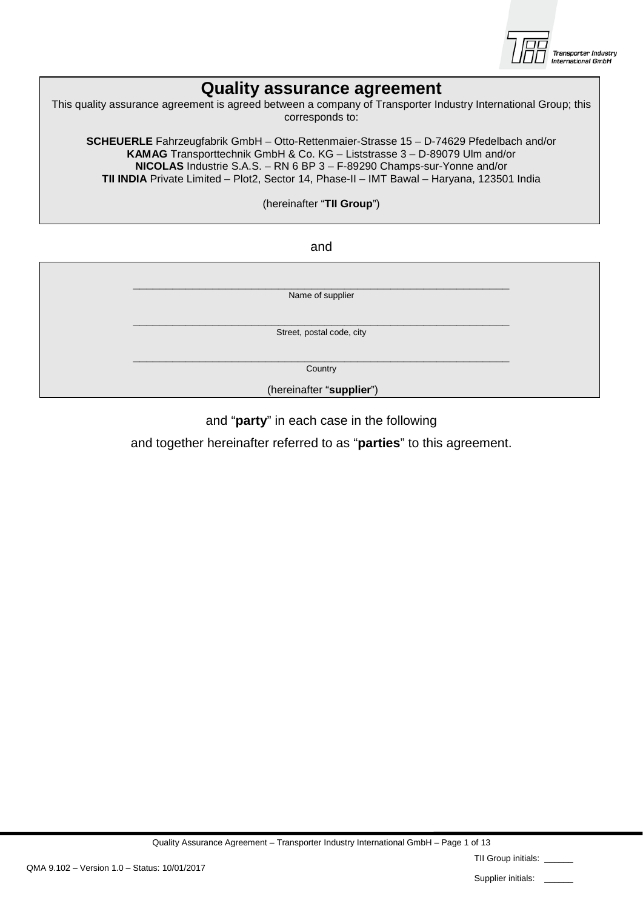

## **Quality assurance agreement**

| This quality assurance agreement is agreed between a company of Transporter Industry International Group; this<br>corresponds to:                                                                                                                                                                                                                          |  |
|------------------------------------------------------------------------------------------------------------------------------------------------------------------------------------------------------------------------------------------------------------------------------------------------------------------------------------------------------------|--|
| <b>SCHEUERLE</b> Fahrzeugfabrik GmbH - Otto-Rettenmaier-Strasse 15 - D-74629 Pfedelbach and/or<br><b>KAMAG</b> Transporttechnik GmbH & Co. KG – Liststrasse 3 – D-89079 Ulm and/or<br>NICOLAS Industrie S.A.S. - RN 6 BP 3 - F-89290 Champs-sur-Yonne and/or<br>TII INDIA Private Limited - Plot2, Sector 14, Phase-II - IMT Bawal - Haryana, 123501 India |  |
| (hereinafter "TII Group")                                                                                                                                                                                                                                                                                                                                  |  |
|                                                                                                                                                                                                                                                                                                                                                            |  |
| and                                                                                                                                                                                                                                                                                                                                                        |  |
|                                                                                                                                                                                                                                                                                                                                                            |  |
| Name of supplier                                                                                                                                                                                                                                                                                                                                           |  |
|                                                                                                                                                                                                                                                                                                                                                            |  |
| Street, postal code, city                                                                                                                                                                                                                                                                                                                                  |  |
|                                                                                                                                                                                                                                                                                                                                                            |  |
|                                                                                                                                                                                                                                                                                                                                                            |  |

**Country** 

(hereinafter "**supplier**")

#### and "**party**" in each case in the following

and together hereinafter referred to as "**parties**" to this agreement.

Quality Assurance Agreement – Transporter Industry International GmbH – Page 1 of 13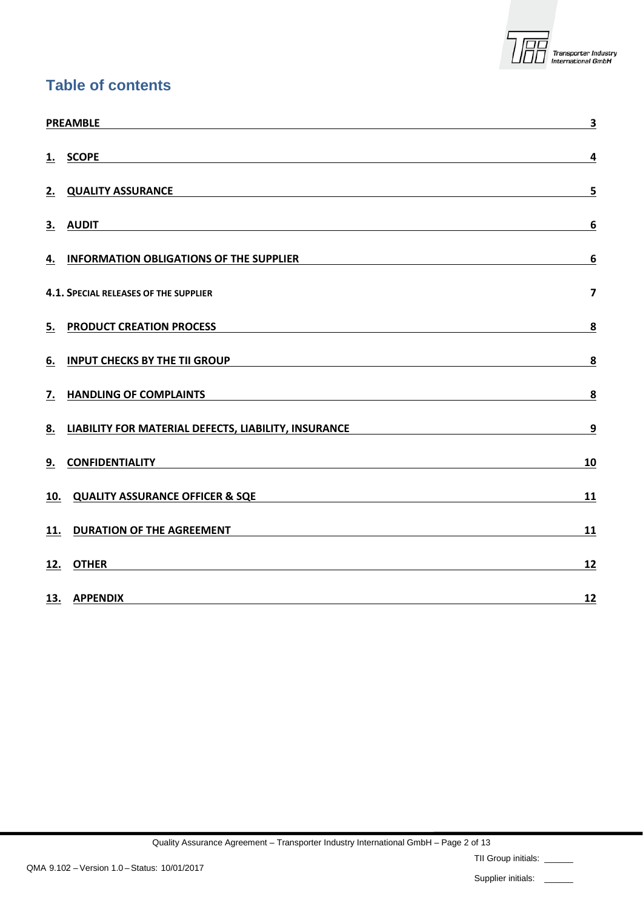

#### **Table of contents**

|     | <b>PREAMBLE</b>                                                                                                                  | $\overline{\mathbf{3}}$                                                                                                   |
|-----|----------------------------------------------------------------------------------------------------------------------------------|---------------------------------------------------------------------------------------------------------------------------|
|     | 1. SCOPE                                                                                                                         | 4                                                                                                                         |
|     | 2. QUALITY ASSURANCE                                                                                                             | 5                                                                                                                         |
|     | 3. AUDIT<br><u> 1989 - Johann Stoff, deutscher Stoff, der Stoff, der Stoff, der Stoff, der Stoff, der Stoff, der Stoff, der </u> | 6                                                                                                                         |
| 4.  | <b>INFORMATION OBLIGATIONS OF THE SUPPLIER</b><br><u> 1980 - Johann Barn, fransk politik (f. 1980)</u>                           | 6                                                                                                                         |
|     | 4.1. SPECIAL RELEASES OF THE SUPPLIER                                                                                            | $\overline{7}$                                                                                                            |
| 5.  | <b>PRODUCT CREATION PROCESS</b>                                                                                                  | 8                                                                                                                         |
| 6.  | <b>INPUT CHECKS BY THE TII GROUP</b>                                                                                             | $\overline{\mathbf{8}}$                                                                                                   |
| 7.  | <b>HANDLING OF COMPLAINTS</b>                                                                                                    | 8                                                                                                                         |
| 8.  | LIABILITY FOR MATERIAL DEFECTS, LIABILITY, INSURANCE                                                                             | 9<br><u> 1980 - Johann Barn, mars ann an t-Amhain Aonaich an t-Aonaich an t-Aonaich ann an t-Aonaich ann an t-Aonaich</u> |
| 9.  | <b>CONFIDENTIALITY</b>                                                                                                           | 10                                                                                                                        |
| 10. | <b>QUALITY ASSURANCE OFFICER &amp; SQE</b>                                                                                       | 11                                                                                                                        |
| 11. | <b>DURATION OF THE AGREEMENT</b>                                                                                                 | 11                                                                                                                        |
| 12. | <b>OTHER</b>                                                                                                                     | 12                                                                                                                        |
|     | 13. APPENDIX                                                                                                                     | 12                                                                                                                        |

TII Group initials: \_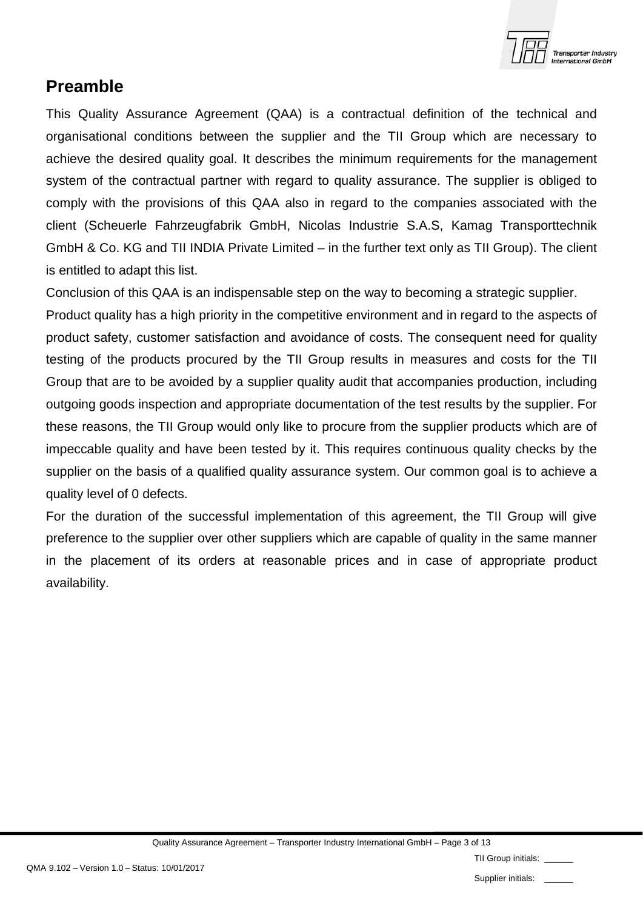

### <span id="page-2-0"></span>**Preamble**

This Quality Assurance Agreement (QAA) is a contractual definition of the technical and organisational conditions between the supplier and the TII Group which are necessary to achieve the desired quality goal. It describes the minimum requirements for the management system of the contractual partner with regard to quality assurance. The supplier is obliged to comply with the provisions of this QAA also in regard to the companies associated with the client (Scheuerle Fahrzeugfabrik GmbH, Nicolas Industrie S.A.S, Kamag Transporttechnik GmbH & Co. KG and TII INDIA Private Limited – in the further text only as TII Group). The client is entitled to adapt this list.

Conclusion of this QAA is an indispensable step on the way to becoming a strategic supplier.

Product quality has a high priority in the competitive environment and in regard to the aspects of product safety, customer satisfaction and avoidance of costs. The consequent need for quality testing of the products procured by the TII Group results in measures and costs for the TII Group that are to be avoided by a supplier quality audit that accompanies production, including outgoing goods inspection and appropriate documentation of the test results by the supplier. For these reasons, the TII Group would only like to procure from the supplier products which are of impeccable quality and have been tested by it. This requires continuous quality checks by the supplier on the basis of a qualified quality assurance system. Our common goal is to achieve a quality level of 0 defects.

For the duration of the successful implementation of this agreement, the TII Group will give preference to the supplier over other suppliers which are capable of quality in the same manner in the placement of its orders at reasonable prices and in case of appropriate product availability.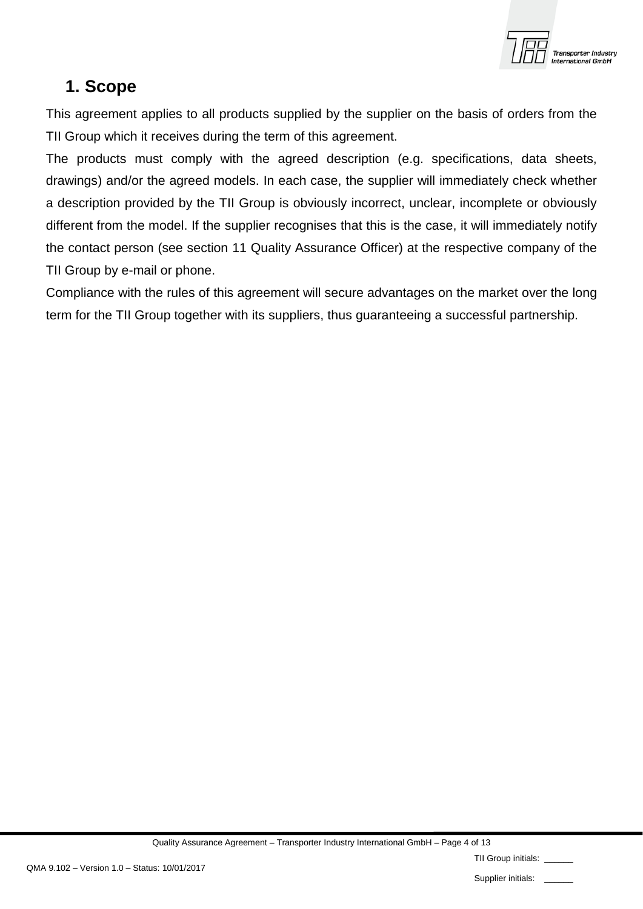

## <span id="page-3-0"></span>**1. Scope**

This agreement applies to all products supplied by the supplier on the basis of orders from the TII Group which it receives during the term of this agreement.

The products must comply with the agreed description (e.g. specifications, data sheets, drawings) and/or the agreed models. In each case, the supplier will immediately check whether a description provided by the TII Group is obviously incorrect, unclear, incomplete or obviously different from the model. If the supplier recognises that this is the case, it will immediately notify the contact person (see section 11 Quality Assurance Officer) at the respective company of the TII Group by e-mail or phone.

Compliance with the rules of this agreement will secure advantages on the market over the long term for the TII Group together with its suppliers, thus guaranteeing a successful partnership.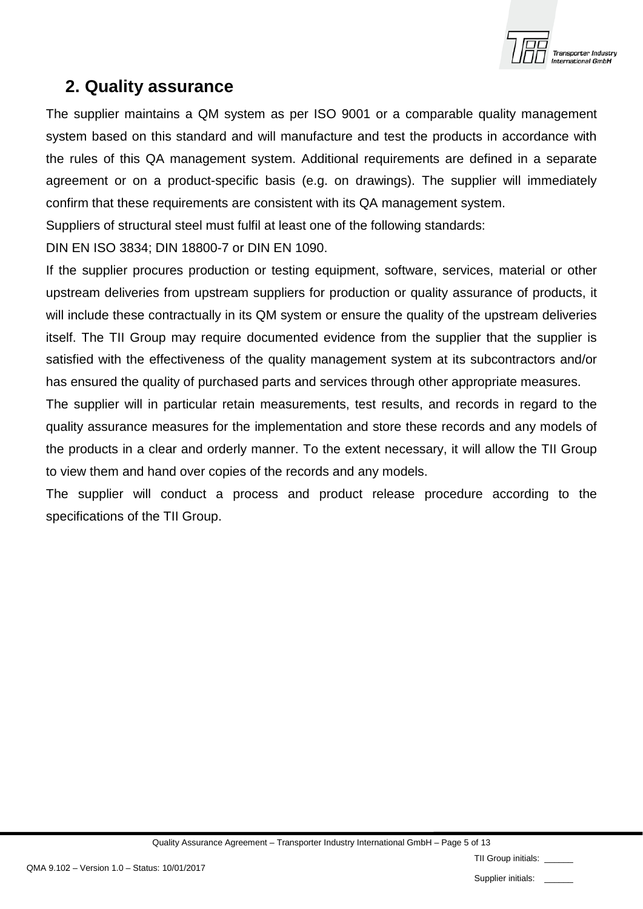

## <span id="page-4-0"></span>**2. Quality assurance**

The supplier maintains a QM system as per ISO 9001 or a comparable quality management system based on this standard and will manufacture and test the products in accordance with the rules of this QA management system. Additional requirements are defined in a separate agreement or on a product-specific basis (e.g. on drawings). The supplier will immediately confirm that these requirements are consistent with its QA management system.

Suppliers of structural steel must fulfil at least one of the following standards:

DIN EN ISO 3834; DIN 18800-7 or DIN EN 1090.

If the supplier procures production or testing equipment, software, services, material or other upstream deliveries from upstream suppliers for production or quality assurance of products, it will include these contractually in its QM system or ensure the quality of the upstream deliveries itself. The TII Group may require documented evidence from the supplier that the supplier is satisfied with the effectiveness of the quality management system at its subcontractors and/or has ensured the quality of purchased parts and services through other appropriate measures.

The supplier will in particular retain measurements, test results, and records in regard to the quality assurance measures for the implementation and store these records and any models of the products in a clear and orderly manner. To the extent necessary, it will allow the TII Group to view them and hand over copies of the records and any models.

The supplier will conduct a process and product release procedure according to the specifications of the TII Group.

|  |  | TII Group initials: |  |
|--|--|---------------------|--|
|--|--|---------------------|--|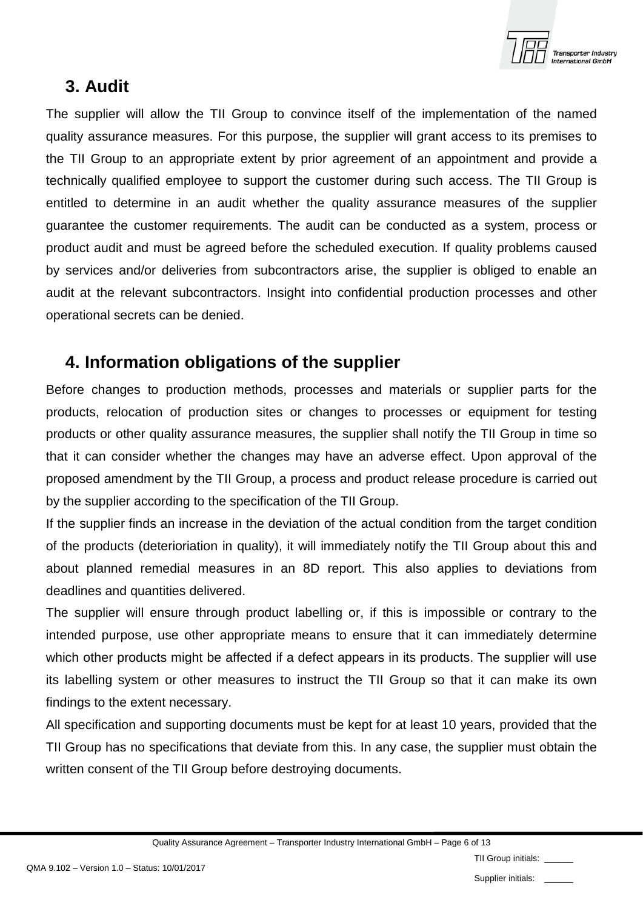

## <span id="page-5-0"></span>**3. Audit**

The supplier will allow the TII Group to convince itself of the implementation of the named quality assurance measures. For this purpose, the supplier will grant access to its premises to the TII Group to an appropriate extent by prior agreement of an appointment and provide a technically qualified employee to support the customer during such access. The TII Group is entitled to determine in an audit whether the quality assurance measures of the supplier guarantee the customer requirements. The audit can be conducted as a system, process or product audit and must be agreed before the scheduled execution. If quality problems caused by services and/or deliveries from subcontractors arise, the supplier is obliged to enable an audit at the relevant subcontractors. Insight into confidential production processes and other operational secrets can be denied.

## <span id="page-5-1"></span>**4. Information obligations of the supplier**

Before changes to production methods, processes and materials or supplier parts for the products, relocation of production sites or changes to processes or equipment for testing products or other quality assurance measures, the supplier shall notify the TII Group in time so that it can consider whether the changes may have an adverse effect. Upon approval of the proposed amendment by the TII Group, a process and product release procedure is carried out by the supplier according to the specification of the TII Group.

If the supplier finds an increase in the deviation of the actual condition from the target condition of the products (deterioriation in quality), it will immediately notify the TII Group about this and about planned remedial measures in an 8D report. This also applies to deviations from deadlines and quantities delivered.

The supplier will ensure through product labelling or, if this is impossible or contrary to the intended purpose, use other appropriate means to ensure that it can immediately determine which other products might be affected if a defect appears in its products. The supplier will use its labelling system or other measures to instruct the TII Group so that it can make its own findings to the extent necessary.

All specification and supporting documents must be kept for at least 10 years, provided that the TII Group has no specifications that deviate from this. In any case, the supplier must obtain the written consent of the TII Group before destroying documents.

Quality Assurance Agreement – Transporter Industry International GmbH – Page 6 of 13

TII Group initials:

Supplier initials: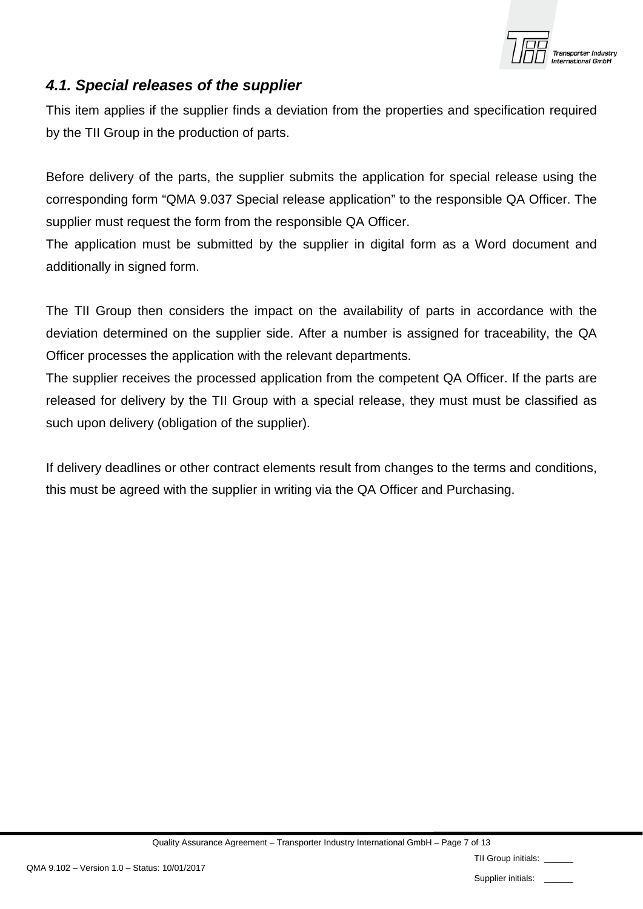

#### <span id="page-6-0"></span>*4.1. Special releases of the supplier*

This item applies if the supplier finds a deviation from the properties and specification required by the TII Group in the production of parts.

Before delivery of the parts, the supplier submits the application for special release using the corresponding form "QMA 9.037 Special release application" to the responsible QA Officer. The supplier must request the form from the responsible QA Officer.

The application must be submitted by the supplier in digital form as a Word document and additionally in signed form.

The TII Group then considers the impact on the availability of parts in accordance with the deviation determined on the supplier side. After a number is assigned for traceability, the QA Officer processes the application with the relevant departments.

The supplier receives the processed application from the competent QA Officer. If the parts are released for delivery by the TII Group with a special release, they must must be classified as such upon delivery (obligation of the supplier).

If delivery deadlines or other contract elements result from changes to the terms and conditions, this must be agreed with the supplier in writing via the QA Officer and Purchasing.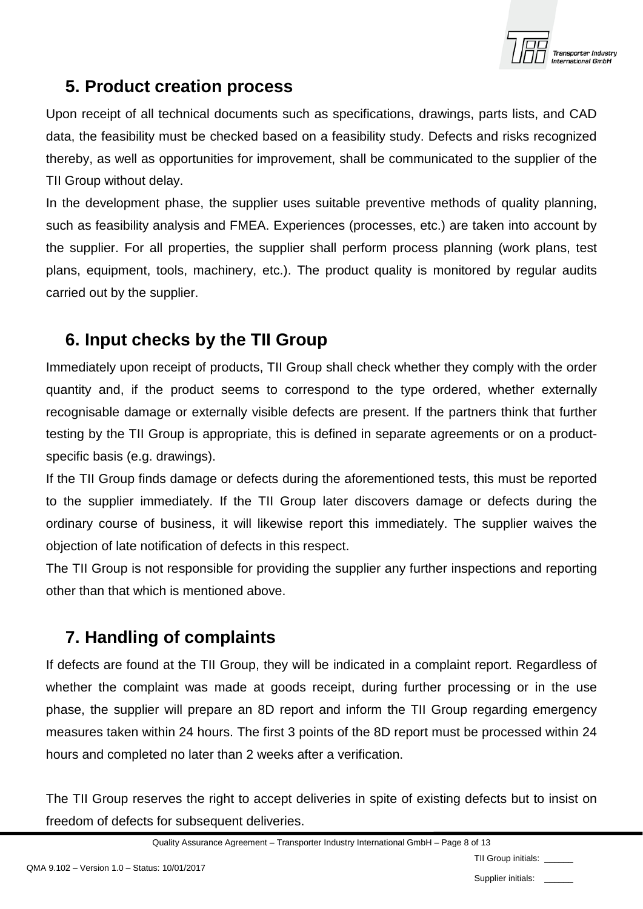

# <span id="page-7-0"></span>**5. Product creation process**

Upon receipt of all technical documents such as specifications, drawings, parts lists, and CAD data, the feasibility must be checked based on a feasibility study. Defects and risks recognized thereby, as well as opportunities for improvement, shall be communicated to the supplier of the TII Group without delay.

In the development phase, the supplier uses suitable preventive methods of quality planning, such as feasibility analysis and FMEA. Experiences (processes, etc.) are taken into account by the supplier. For all properties, the supplier shall perform process planning (work plans, test plans, equipment, tools, machinery, etc.). The product quality is monitored by regular audits carried out by the supplier.

# <span id="page-7-1"></span>**6. Input checks by the TII Group**

Immediately upon receipt of products, TII Group shall check whether they comply with the order quantity and, if the product seems to correspond to the type ordered, whether externally recognisable damage or externally visible defects are present. If the partners think that further testing by the TII Group is appropriate, this is defined in separate agreements or on a productspecific basis (e.g. drawings).

If the TII Group finds damage or defects during the aforementioned tests, this must be reported to the supplier immediately. If the TII Group later discovers damage or defects during the ordinary course of business, it will likewise report this immediately. The supplier waives the objection of late notification of defects in this respect.

The TII Group is not responsible for providing the supplier any further inspections and reporting other than that which is mentioned above.

# <span id="page-7-2"></span>**7. Handling of complaints**

If defects are found at the TII Group, they will be indicated in a complaint report. Regardless of whether the complaint was made at goods receipt, during further processing or in the use phase, the supplier will prepare an 8D report and inform the TII Group regarding emergency measures taken within 24 hours. The first 3 points of the 8D report must be processed within 24 hours and completed no later than 2 weeks after a verification.

The TII Group reserves the right to accept deliveries in spite of existing defects but to insist on freedom of defects for subsequent deliveries.

TII Group initials:

Supplier initials: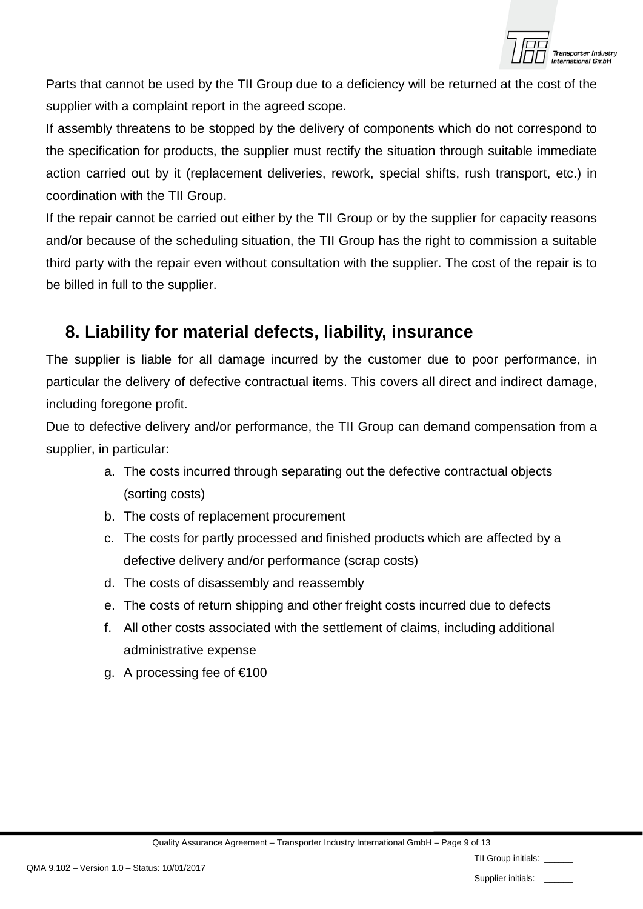

Parts that cannot be used by the TII Group due to a deficiency will be returned at the cost of the supplier with a complaint report in the agreed scope.

If assembly threatens to be stopped by the delivery of components which do not correspond to the specification for products, the supplier must rectify the situation through suitable immediate action carried out by it (replacement deliveries, rework, special shifts, rush transport, etc.) in coordination with the TII Group.

If the repair cannot be carried out either by the TII Group or by the supplier for capacity reasons and/or because of the scheduling situation, the TII Group has the right to commission a suitable third party with the repair even without consultation with the supplier. The cost of the repair is to be billed in full to the supplier.

## <span id="page-8-0"></span>**8. Liability for material defects, liability, insurance**

The supplier is liable for all damage incurred by the customer due to poor performance, in particular the delivery of defective contractual items. This covers all direct and indirect damage, including foregone profit.

Due to defective delivery and/or performance, the TII Group can demand compensation from a supplier, in particular:

- a. The costs incurred through separating out the defective contractual objects (sorting costs)
- b. The costs of replacement procurement
- c. The costs for partly processed and finished products which are affected by a defective delivery and/or performance (scrap costs)
- d. The costs of disassembly and reassembly
- e. The costs of return shipping and other freight costs incurred due to defects
- f. All other costs associated with the settlement of claims, including additional administrative expense
- g. A processing fee of €100

| TII Group initials: |  |  |
|---------------------|--|--|
|---------------------|--|--|

Supplier initials: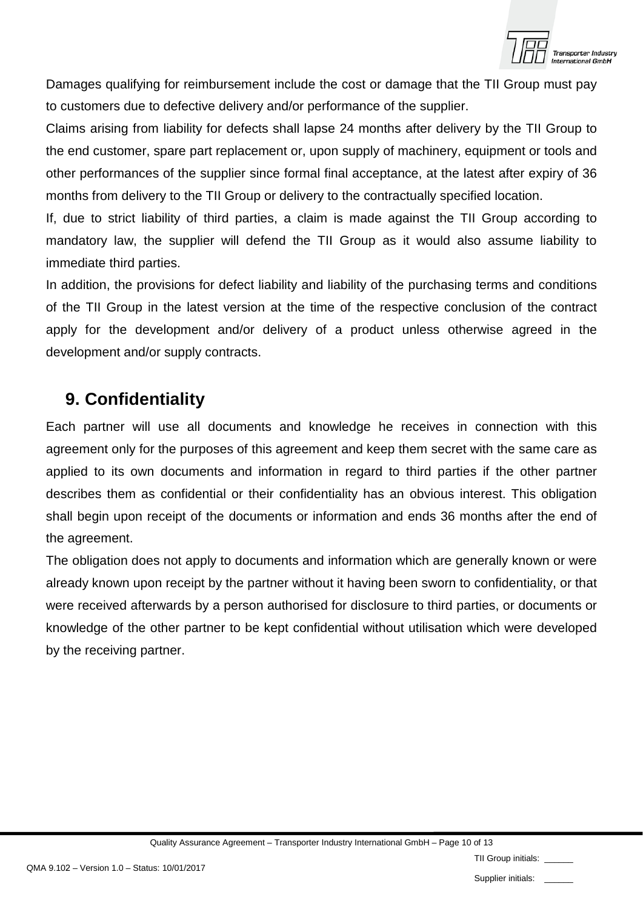

Damages qualifying for reimbursement include the cost or damage that the TII Group must pay to customers due to defective delivery and/or performance of the supplier.

Claims arising from liability for defects shall lapse 24 months after delivery by the TII Group to the end customer, spare part replacement or, upon supply of machinery, equipment or tools and other performances of the supplier since formal final acceptance, at the latest after expiry of 36 months from delivery to the TII Group or delivery to the contractually specified location.

If, due to strict liability of third parties, a claim is made against the TII Group according to mandatory law, the supplier will defend the TII Group as it would also assume liability to immediate third parties.

In addition, the provisions for defect liability and liability of the purchasing terms and conditions of the TII Group in the latest version at the time of the respective conclusion of the contract apply for the development and/or delivery of a product unless otherwise agreed in the development and/or supply contracts.

## <span id="page-9-0"></span>**9. Confidentiality**

Each partner will use all documents and knowledge he receives in connection with this agreement only for the purposes of this agreement and keep them secret with the same care as applied to its own documents and information in regard to third parties if the other partner describes them as confidential or their confidentiality has an obvious interest. This obligation shall begin upon receipt of the documents or information and ends 36 months after the end of the agreement.

The obligation does not apply to documents and information which are generally known or were already known upon receipt by the partner without it having been sworn to confidentiality, or that were received afterwards by a person authorised for disclosure to third parties, or documents or knowledge of the other partner to be kept confidential without utilisation which were developed by the receiving partner.

|  | TII Group initials: |  |
|--|---------------------|--|
|--|---------------------|--|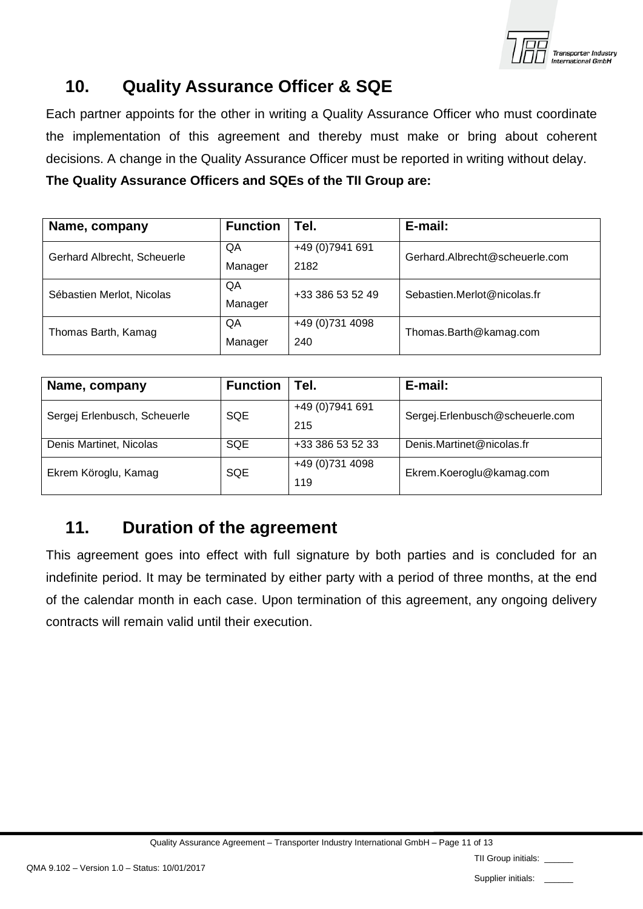

## <span id="page-10-0"></span>**10. Quality Assurance Officer & SQE**

Each partner appoints for the other in writing a Quality Assurance Officer who must coordinate the implementation of this agreement and thereby must make or bring about coherent decisions. A change in the Quality Assurance Officer must be reported in writing without delay.

**The Quality Assurance Officers and SQEs of the TII Group are:**

| Name, company               | <b>Function</b> | Tel.             | E-mail:                        |  |
|-----------------------------|-----------------|------------------|--------------------------------|--|
| Gerhard Albrecht, Scheuerle | QA              | +49 (0) 7941 691 | Gerhard.Albrecht@scheuerle.com |  |
|                             | Manager         | 2182             |                                |  |
| Sébastien Merlot, Nicolas   | QA              | +33 386 53 52 49 | Sebastien.Merlot@nicolas.fr    |  |
|                             | Manager         |                  |                                |  |
| Thomas Barth, Kamag         | QA              | +49 (0)731 4098  | Thomas.Barth@kamag.com         |  |
|                             | Manager         | 240              |                                |  |

| Name, company                | <b>Function</b> | ' Tel.                 | E-mail:                         |
|------------------------------|-----------------|------------------------|---------------------------------|
| Sergej Erlenbusch, Scheuerle | <b>SQE</b>      | +49 (0)7941 691<br>215 | Sergej.Erlenbusch@scheuerle.com |
| Denis Martinet, Nicolas      | <b>SQE</b>      | +33 386 53 52 33       | Denis.Martinet@nicolas.fr       |
| Ekrem Köroglu, Kamag         | <b>SQE</b>      | +49 (0)731 4098<br>119 | Ekrem.Koeroglu@kamag.com        |

## <span id="page-10-1"></span>**11. Duration of the agreement**

This agreement goes into effect with full signature by both parties and is concluded for an indefinite period. It may be terminated by either party with a period of three months, at the end of the calendar month in each case. Upon termination of this agreement, any ongoing delivery contracts will remain valid until their execution.

|  | $\sim$ | - 1 |  | $\sim$ $\sim$ $\sim$ |  |  |  |
|--|--------|-----|--|----------------------|--|--|--|
|  |        |     |  |                      |  |  |  |
|  |        |     |  |                      |  |  |  |
|  |        |     |  |                      |  |  |  |

Supplier initials:

TII Group initials: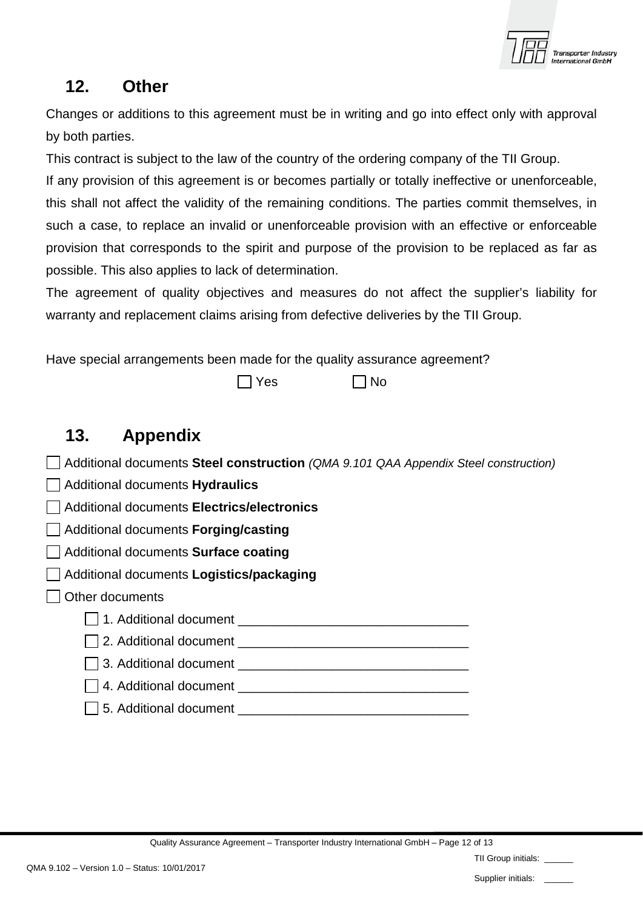

#### <span id="page-11-0"></span>**12. Other**

Changes or additions to this agreement must be in writing and go into effect only with approval by both parties.

This contract is subject to the law of the country of the ordering company of the TII Group.

If any provision of this agreement is or becomes partially or totally ineffective or unenforceable, this shall not affect the validity of the remaining conditions. The parties commit themselves, in such a case, to replace an invalid or unenforceable provision with an effective or enforceable provision that corresponds to the spirit and purpose of the provision to be replaced as far as possible. This also applies to lack of determination.

The agreement of quality objectives and measures do not affect the supplier's liability for warranty and replacement claims arising from defective deliveries by the TII Group.

Have special arrangements been made for the quality assurance agreement?

 $\Box$  Yes  $\Box$  No

# <span id="page-11-1"></span>**13. Appendix**

- Additional documents **Steel construction** *(QMA 9.101 QAA Appendix Steel construction)*
- Additional documents **Hydraulics**
- Additional documents **Electrics/electronics**
- Additional documents **Forging/casting**
- Additional documents **Surface coating**
- Additional documents **Logistics/packaging**
- □ Other documents
	- 1. Additional document \_\_\_\_\_\_\_\_\_\_\_\_\_\_\_\_\_\_\_\_\_\_\_\_\_\_\_\_\_\_\_\_
	- | 2. Additional document
	- | 3. Additional document
	- $\Box$  4. Additional document  $\Box$
	- $\vert \ \vert$  5. Additional document